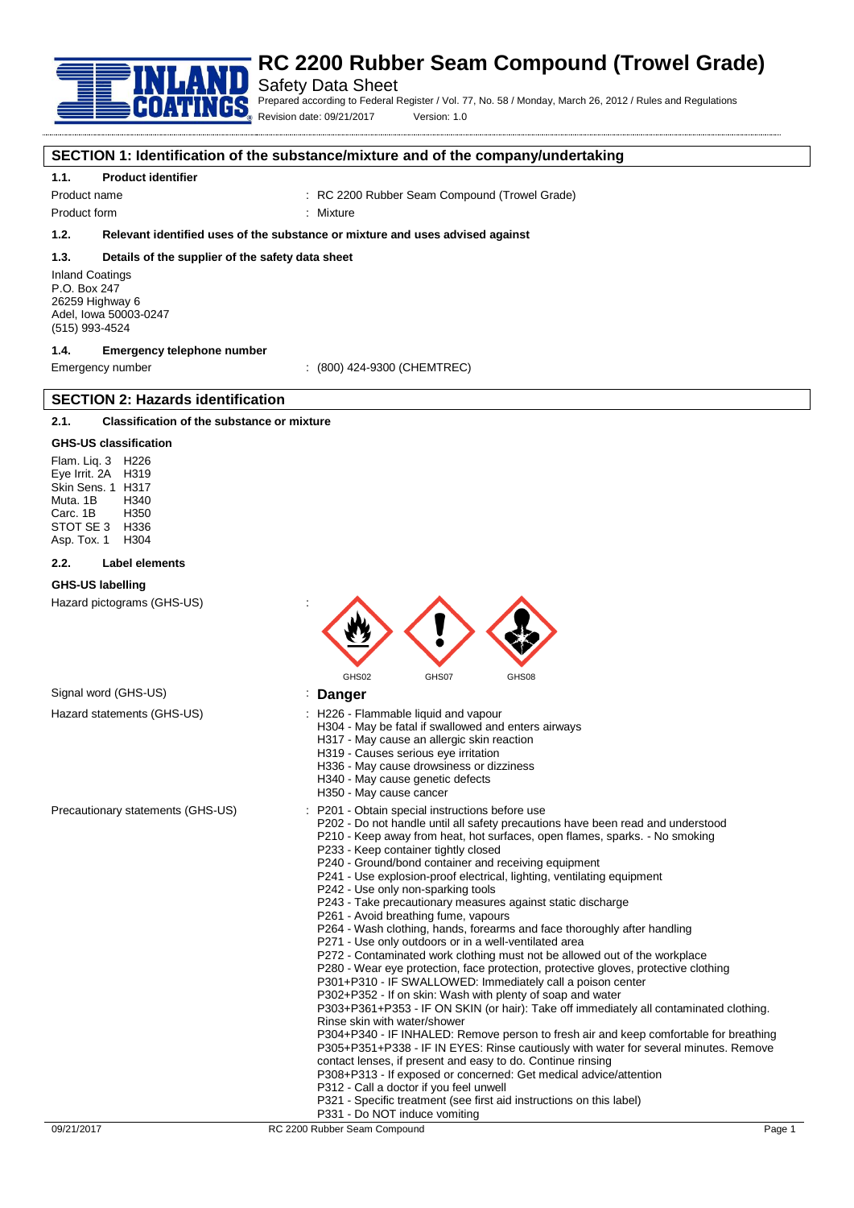

# Safety Data Sheet

Prepared according to Federal Register / Vol. 77, No. 58 / Monday, March 26, 2012 / Rules and Regulations Revision date: 09/21/2017 Version: 1.0

## **SECTION 1: Identification of the substance/mixture and of the company/undertaking**

## **1.1. Product identifier**

Product name **in the seam Compound (Trowel Grade)** : RC 2200 Rubber Seam Compound (Trowel Grade)

Product form : Nixture

**1.2. Relevant identified uses of the substance or mixture and uses advised against**

#### **1.3. Details of the supplier of the safety data sheet**

Inland Coatings P.O. Box 247 26259 Highway 6 Adel, Iowa 50003-0247 (515) 993-4524

# **1.4. Emergency telephone number**

Emergency number : (800) 424-9300 (CHEMTREC)

# **2.1. Classification of the substance or mixture**

**SECTION 2: Hazards identification**

#### **GHS-US classification**

Flam. Liq. 3 H226 Eye Irrit. 2A H319 Skin Sens. 1 H317 Muta. 1B H340 Carc. 1B H350 STOT SE 3 H336<br>Asp. Tox. 1 H304 Asp. Tox. 1

#### **2.2. Label elements**

#### **GHS-US labelling**

Hazard pictograms (GHS-US) :



# Signal word (GHS-US) **in the US** is **Danger**

- Hazard statements (GHS-US) : H226 Flammable liquid and vapour
	- H304 May be fatal if swallowed and enters airways
		- H317 May cause an allergic skin reaction
		- H319 Causes serious eye irritation
		- H336 May cause drowsiness or dizziness
		- H340 May cause genetic defects
		- H350 May cause cancer
- Precautionary statements (GHS-US) : P201 Obtain special instructions before use
	- P202 Do not handle until all safety precautions have been read and understood
	- P210 Keep away from heat, hot surfaces, open flames, sparks. No smoking P233 - Keep container tightly closed
	- P240 Ground/bond container and receiving equipment
	- P241 Use explosion-proof electrical, lighting, ventilating equipment
	- P242 Use only non-sparking tools
	- P243 Take precautionary measures against static discharge
	- P261 Avoid breathing fume, vapours
	- P264 Wash clothing, hands, forearms and face thoroughly after handling
	- P271 Use only outdoors or in a well-ventilated area
	- P272 Contaminated work clothing must not be allowed out of the workplace
	- P280 Wear eye protection, face protection, protective gloves, protective clothing
	- P301+P310 IF SWALLOWED: Immediately call a poison center
	- P302+P352 If on skin: Wash with plenty of soap and water

P303+P361+P353 - IF ON SKIN (or hair): Take off immediately all contaminated clothing. Rinse skin with water/shower

P304+P340 - IF INHALED: Remove person to fresh air and keep comfortable for breathing P305+P351+P338 - IF IN EYES: Rinse cautiously with water for several minutes. Remove contact lenses, if present and easy to do. Continue rinsing

- P308+P313 If exposed or concerned: Get medical advice/attention
- P312 Call a doctor if you feel unwell
- P321 Specific treatment (see first aid instructions on this label)
- P331 Do NOT induce vomiting

09/21/2017 RC 2200 Rubber Seam Compound Records and December 2000 Rubber Seam Compound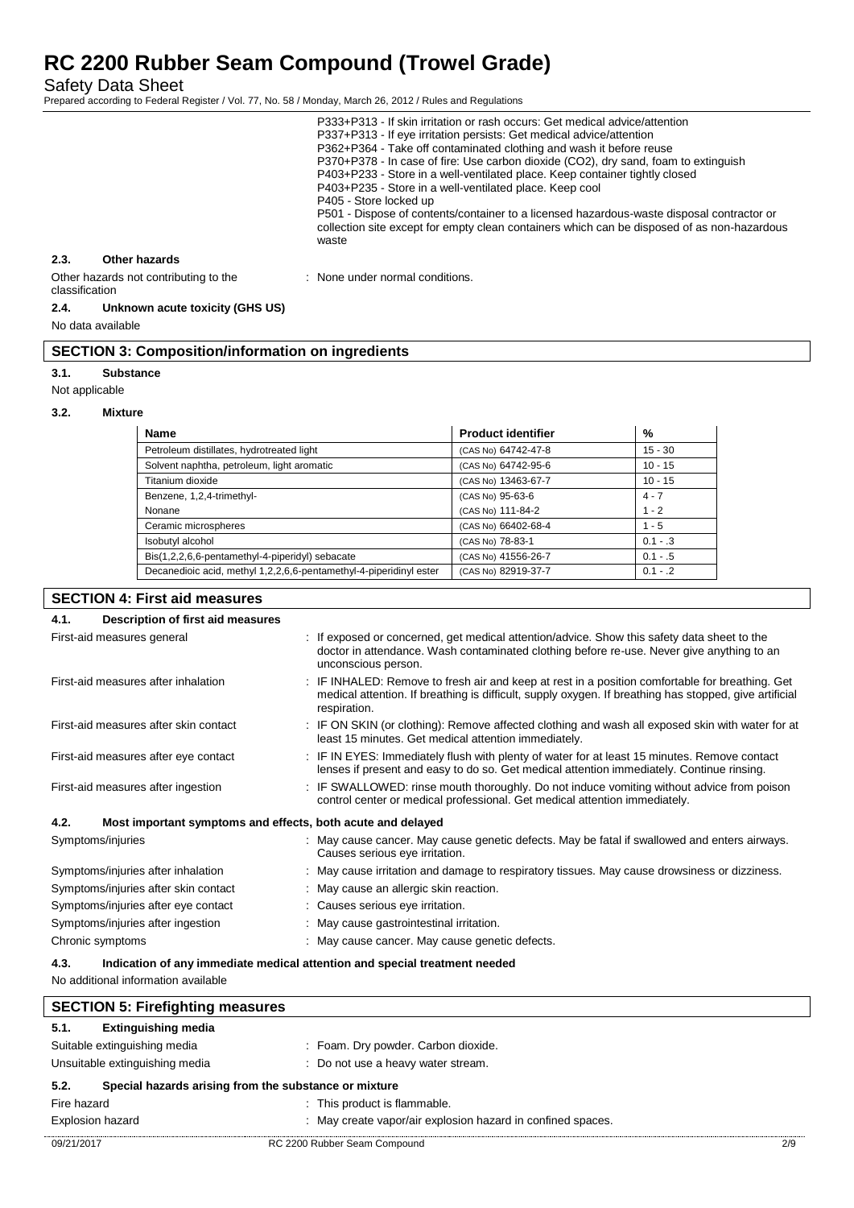Safety Data Sheet

Prepared according to Federal Register / Vol. 77, No. 58 / Monday, March 26, 2012 / Rules and Regulations

|                                       | P333+P313 - If skin irritation or rash occurs: Get medical advice/attention<br>P337+P313 - If eye irritation persists: Get medical advice/attention<br>P362+P364 - Take off contaminated clothing and wash it before reuse<br>P370+P378 - In case of fire: Use carbon dioxide (CO2), dry sand, foam to extinguish<br>P403+P233 - Store in a well-ventilated place. Keep container tightly closed<br>P403+P235 - Store in a well-ventilated place. Keep cool<br>P405 - Store locked up<br>P501 - Dispose of contents/container to a licensed hazardous-waste disposal contractor or<br>collection site except for empty clean containers which can be disposed of as non-hazardous<br>waste |
|---------------------------------------|--------------------------------------------------------------------------------------------------------------------------------------------------------------------------------------------------------------------------------------------------------------------------------------------------------------------------------------------------------------------------------------------------------------------------------------------------------------------------------------------------------------------------------------------------------------------------------------------------------------------------------------------------------------------------------------------|
| 2.3.<br>Other hazards                 |                                                                                                                                                                                                                                                                                                                                                                                                                                                                                                                                                                                                                                                                                            |
| Other hazards not contributing to the | None under normal conditions.                                                                                                                                                                                                                                                                                                                                                                                                                                                                                                                                                                                                                                                              |

## classification **2.4. Unknown acute toxicity (GHS US)**

No data available

# **SECTION 3: Composition/information on ingredients**

#### **3.1. Substance**

Not applicable

### **3.2. Mixture**

| <b>Name</b>                                                        | <b>Product identifier</b> | %          |
|--------------------------------------------------------------------|---------------------------|------------|
| Petroleum distillates, hydrotreated light                          | (CAS No) 64742-47-8       | $15 - 30$  |
| Solvent naphtha, petroleum, light aromatic                         | (CAS No) 64742-95-6       | $10 - 15$  |
| Titanium dioxide                                                   | (CAS No) 13463-67-7       | $10 - 15$  |
| Benzene, 1,2,4-trimethyl-                                          | (CAS No) 95-63-6          | $4 - 7$    |
| Nonane                                                             | (CAS No) 111-84-2         | $1 - 2$    |
| Ceramic microspheres                                               | (CAS No) 66402-68-4       | $1 - 5$    |
| Isobutyl alcohol                                                   | (CAS No) 78-83-1          | $0.1 - .3$ |
| Bis(1,2,2,6,6-pentamethyl-4-piperidyl) sebacate                    | (CAS No) 41556-26-7       | $0.1 - .5$ |
| Decanedioic acid, methyl 1,2,2,6,6-pentamethyl-4-piperidinyl ester | (CAS No) 82919-37-7       | $0.1 - .2$ |

# **SECTION 4: First aid measures 4.1. Description of first aid measures** First-aid measures general interest of the state of the sposed or concerned, get medical attention/advice. Show this safety data sheet to the doctor in attendance. Wash contaminated clothing before re-use. Never give anything to an unconscious person. First-aid measures after inhalation : IF INHALED: Remove to fresh air and keep at rest in a position comfortable for breathing. Get medical attention. If breathing is difficult, supply oxygen. If breathing has stopped, give artificial respiration. First-aid measures after skin contact : IF ON SKIN (or clothing): Remove affected clothing and wash all exposed skin with water for at least 15 minutes. Get medical attention immediately. First-aid measures after eye contact : IF IN EYES: Immediately flush with plenty of water for at least 15 minutes. Remove contact lenses if present and easy to do so. Get medical attention immediately. Continue rinsing. First-aid measures after ingestion : IF SWALLOWED: rinse mouth thoroughly. Do not induce vomiting without advice from poison control center or medical professional. Get medical attention immediately. **4.2. Most important symptoms and effects, both acute and delayed** Symptoms/injuries **Symptoms**/injuries **ancerered and enters airways.** Symptoms/injuries airways. Causes serious eye irritation. Symptoms/injuries after inhalation : May cause irritation and damage to respiratory tissues. May cause drowsiness or dizziness. Symptoms/injuries after skin contact : May cause an allergic skin reaction. Symptoms/injuries after eye contact : Causes serious eye irritation. Symptoms/injuries after ingestion : May cause gastrointestinal irritation. Chronic symptoms : May cause cancer. May cause genetic defects. **4.3. Indication of any immediate medical attention and special treatment needed** No additional information available **SECTION 5: Firefighting measures**

| 5.1.<br><b>Extinguishing media</b>                            |                                                           |     |
|---------------------------------------------------------------|-----------------------------------------------------------|-----|
| Suitable extinguishing media                                  | : Foam. Dry powder. Carbon dioxide.                       |     |
| Unsuitable extinguishing media                                | : Do not use a heavy water stream.                        |     |
| 5.2.<br>Special hazards arising from the substance or mixture |                                                           |     |
| Fire hazard                                                   | : This product is flammable.                              |     |
| <b>Explosion hazard</b>                                       | May create vapor/air explosion hazard in confined spaces. |     |
| 09/21/2017                                                    | RC 2200 Rubber Seam Compound                              | 2/9 |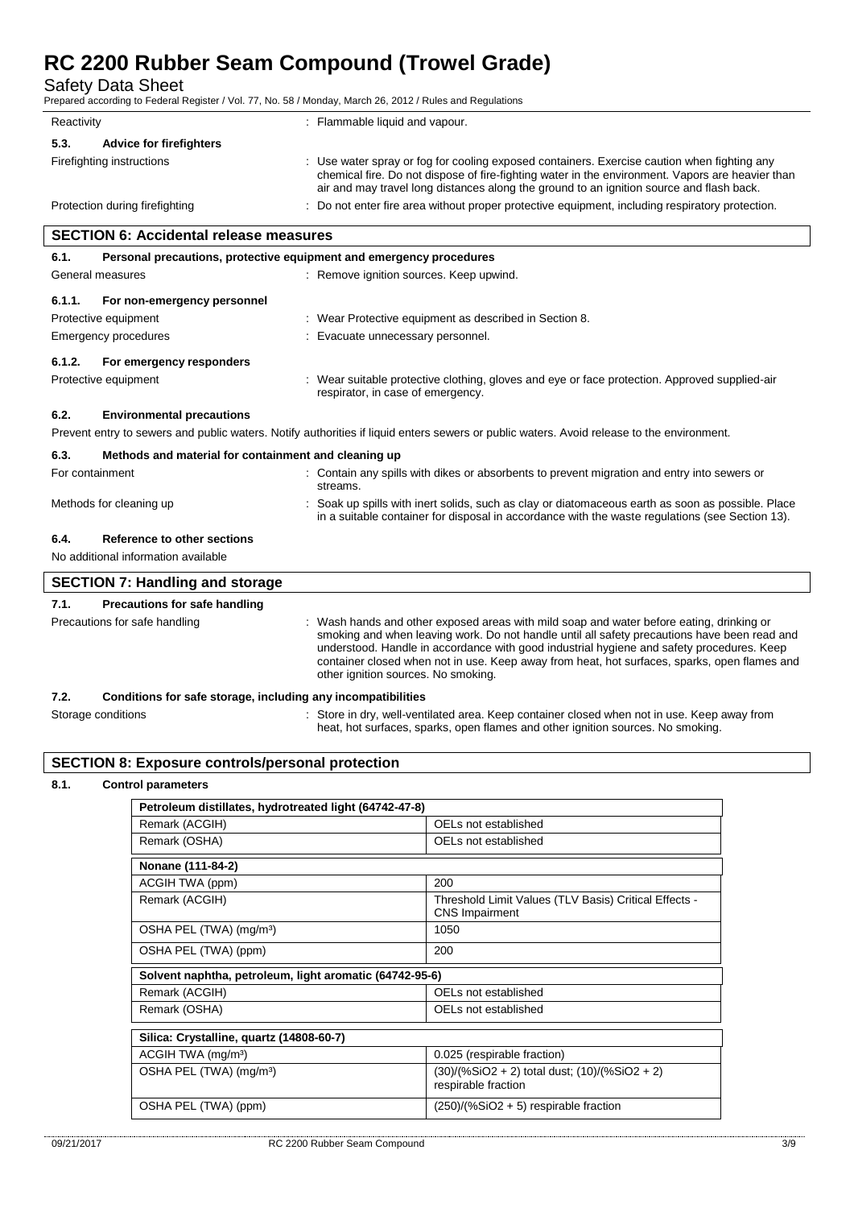Protective equipment **in the contract of the Contract Contract Contract Contract Contract Contract Contract Contract Contract Contract Contract Contract Contract Contract Contract Contract Contract Contract Contract Contra** 

Emergency procedures : Evacuate unnecessary personnel.

Safety Data Sheet

Prepared according to Federal Register / Vol. 77, No. 58 / Monday, March 26, 2012 / Rules and Regulations

| Reactivity                                                                  | : Flammable liquid and vapour.                                                                                                                                                                                                                                                              |
|-----------------------------------------------------------------------------|---------------------------------------------------------------------------------------------------------------------------------------------------------------------------------------------------------------------------------------------------------------------------------------------|
| 5.3.<br><b>Advice for firefighters</b>                                      |                                                                                                                                                                                                                                                                                             |
| Firefighting instructions                                                   | : Use water spray or fog for cooling exposed containers. Exercise caution when fighting any<br>chemical fire. Do not dispose of fire-fighting water in the environment. Vapors are heavier than<br>air and may travel long distances along the ground to an ignition source and flash back. |
| Protection during firefighting                                              | : Do not enter fire area without proper protective equipment, including respiratory protection.                                                                                                                                                                                             |
| <b>SECTION 6: Accidental release measures</b>                               |                                                                                                                                                                                                                                                                                             |
| Personal precautions, protective equipment and emergency procedures<br>6.1. |                                                                                                                                                                                                                                                                                             |
| General measures                                                            | : Remove ignition sources. Keep upwind.                                                                                                                                                                                                                                                     |
| For non-emergency personnel<br>6.1.1.                                       |                                                                                                                                                                                                                                                                                             |

# **6.1.2. For emergency responders**

Protective equipment **interprotective clothing**, gloves and eye or face protection. Approved supplied-air respirator, in case of emergency.

heat, hot surfaces, sparks, open flames and other ignition sources. No smoking.

### **6.2. Environmental precautions**

Prevent entry to sewers and public waters. Notify authorities if liquid enters sewers or public waters. Avoid release to the environment.

| 6.3.            | Methods and material for containment and cleaning up |  |                                                                                                                                                                                                      |  |
|-----------------|------------------------------------------------------|--|------------------------------------------------------------------------------------------------------------------------------------------------------------------------------------------------------|--|
| For containment |                                                      |  | : Contain any spills with dikes or absorbents to prevent migration and entry into sewers or<br>streams.                                                                                              |  |
|                 | Methods for cleaning up                              |  | : Soak up spills with inert solids, such as clay or diatomaceous earth as soon as possible. Place<br>in a suitable container for disposal in accordance with the waste regulations (see Section 13). |  |
| 6.4.            | Reference to other sections                          |  |                                                                                                                                                                                                      |  |
|                 | No additional information available                  |  |                                                                                                                                                                                                      |  |
|                 | <b>SECTION 7: Handling and storage</b>               |  |                                                                                                                                                                                                      |  |

# **7.1. Precautions for safe handling** Precautions for safe handling **incomponent in the state of the state of the state of the state of the state of the state of the state of the state of the Precautions for safe handling or** smoking and when leaving work. Do not handle until all safety precautions have been read and understood. Handle in accordance with good industrial hygiene and safety procedures. Keep container closed when not in use. Keep away from heat, hot surfaces, sparks, open flames and other ignition sources. No smoking. **7.2. Conditions for safe storage, including any incompatibilities** Storage conditions **Store in dry**, well-ventilated area. Keep container closed when not in use. Keep away from

# **SECTION 8: Exposure controls/personal protection**

### **8.1. Control parameters**

| Petroleum distillates, hydrotreated light (64742-47-8)  |                                                                                |  |  |
|---------------------------------------------------------|--------------------------------------------------------------------------------|--|--|
| Remark (ACGIH)                                          | OELs not established                                                           |  |  |
| Remark (OSHA)                                           | OELs not established                                                           |  |  |
| Nonane (111-84-2)                                       |                                                                                |  |  |
| ACGIH TWA (ppm)                                         | 200                                                                            |  |  |
| Remark (ACGIH)                                          | Threshold Limit Values (TLV Basis) Critical Effects -<br><b>CNS Impairment</b> |  |  |
| OSHA PEL (TWA) (mg/m <sup>3</sup> )                     | 1050                                                                           |  |  |
| OSHA PEL (TWA) (ppm)                                    | 200                                                                            |  |  |
| Solvent naphtha, petroleum, light aromatic (64742-95-6) |                                                                                |  |  |
| Remark (ACGIH)                                          | OELs not established                                                           |  |  |
| Remark (OSHA)                                           | OELs not established                                                           |  |  |
| Silica: Crystalline, quartz (14808-60-7)                |                                                                                |  |  |
| ACGIH TWA (mg/m <sup>3</sup> )                          | 0.025 (respirable fraction)                                                    |  |  |
| OSHA PEL (TWA) (mg/m <sup>3</sup> )                     | (30)/(%SiO2 + 2) total dust; (10)/(%SiO2 + 2)<br>respirable fraction           |  |  |
| OSHA PEL (TWA) (ppm)                                    | $(250)/(%SiO2 + 5)$ respirable fraction                                        |  |  |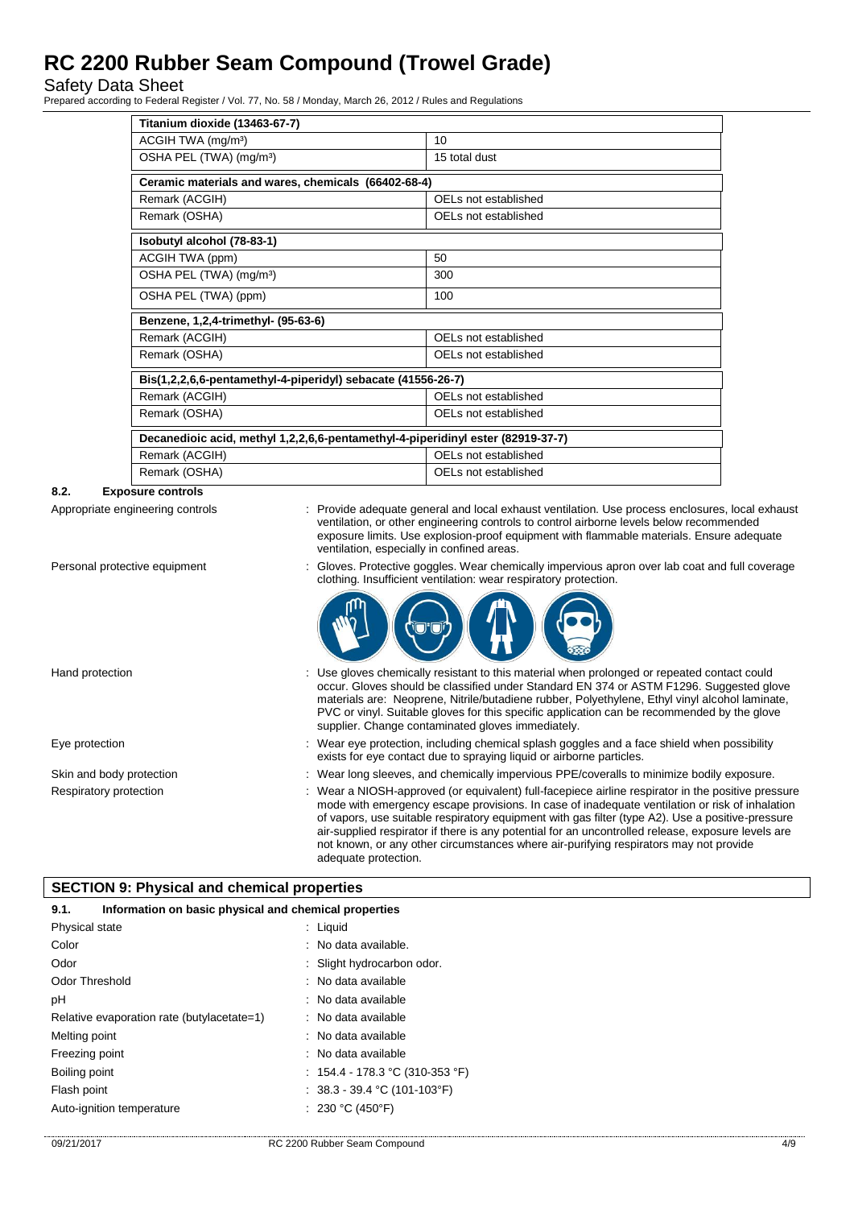Safety Data Sheet

Prepared according to Federal Register / Vol. 77, No. 58 / Monday, March 26, 2012 / Rules and Regulations

| Titanium dioxide (13463-67-7)                                                   |                      |  |
|---------------------------------------------------------------------------------|----------------------|--|
| ACGIH TWA (mg/m <sup>3</sup> )                                                  | 10                   |  |
| OSHA PEL (TWA) (mg/m <sup>3</sup> )                                             | 15 total dust        |  |
| Ceramic materials and wares, chemicals (66402-68-4)                             |                      |  |
| Remark (ACGIH)                                                                  | OELs not established |  |
| Remark (OSHA)                                                                   | OELs not established |  |
| Isobutyl alcohol (78-83-1)                                                      |                      |  |
| ACGIH TWA (ppm)                                                                 | 50                   |  |
| OSHA PEL (TWA) (mg/m <sup>3</sup> )                                             | 300                  |  |
| OSHA PEL (TWA) (ppm)                                                            | 100                  |  |
| Benzene, 1,2,4-trimethyl- (95-63-6)                                             |                      |  |
| Remark (ACGIH)                                                                  | OELs not established |  |
| Remark (OSHA)                                                                   | OELs not established |  |
| Bis(1,2,2,6,6-pentamethyl-4-piperidyl) sebacate (41556-26-7)                    |                      |  |
| Remark (ACGIH)                                                                  | OELs not established |  |
| Remark (OSHA)                                                                   | OELs not established |  |
| Decanedioic acid, methyl 1,2,2,6,6-pentamethyl-4-piperidinyl ester (82919-37-7) |                      |  |
| Remark (ACGIH)                                                                  | OELs not established |  |
| Remark (OSHA)                                                                   | OELs not established |  |

# **8.2. Exposure controls**

Appropriate engineering controls : Provide adequate general and local exhaust ventilation. Use process enclosures, local exhaust ventilation, or other engineering controls to control airborne levels below recommended exposure limits. Use explosion-proof equipment with flammable materials. Ensure adequate ventilation, especially in confined areas.

clothing. Insufficient ventilation: wear respiratory protection.

Personal protective equipment : Gloves. Protective goggles. Wear chemically impervious apron over lab coat and full coverage

#### Hand protection state of the state of the entire of the sistem of this material when prolonged or repeated contact could occur. Gloves should be classified under Standard EN 374 or ASTM F1296. Suggested glove materials are: Neoprene, Nitrile/butadiene rubber, Polyethylene, Ethyl vinyl alcohol laminate, PVC or vinyl. Suitable gloves for this specific application can be recommended by the glove supplier. Change contaminated gloves immediately.

- Eye protection **including the matter of the system** of the Wear eye protection, including chemical splash goggles and a face shield when possibility exists for eye contact due to spraying liquid or airborne particles.
- Skin and body protection : Wear long sleeves, and chemically impervious PPE/coveralls to minimize bodily exposure.
- Respiratory protection : Wear a NIOSH-approved (or equivalent) full-facepiece airline respirator in the positive pressure mode with emergency escape provisions. In case of inadequate ventilation or risk of inhalation of vapors, use suitable respiratory equipment with gas filter (type A2). Use a positive-pressure air-supplied respirator if there is any potential for an uncontrolled release, exposure levels are not known, or any other circumstances where air-purifying respirators may not provide adequate protection.

# **SECTION 9: Physical and chemical properties**

| Information on basic physical and chemical properties<br>9.1. |                                   |  |
|---------------------------------------------------------------|-----------------------------------|--|
| Physical state                                                | $:$ Liquid                        |  |
| Color                                                         | : No data available.              |  |
| Odor                                                          | : Slight hydrocarbon odor.        |  |
| Odor Threshold                                                | : No data available               |  |
| рH                                                            | : No data available               |  |
| Relative evaporation rate (butylacetate=1)                    | : No data available               |  |
| Melting point                                                 | : No data available               |  |
| Freezing point                                                | : No data available               |  |
| Boiling point                                                 | : $154.4 - 178.3$ °C (310-353 °F) |  |
| Flash point                                                   | : $38.3 - 39.4$ °C (101-103°F)    |  |
| Auto-ignition temperature                                     | : 230 °C (450°F)                  |  |
|                                                               |                                   |  |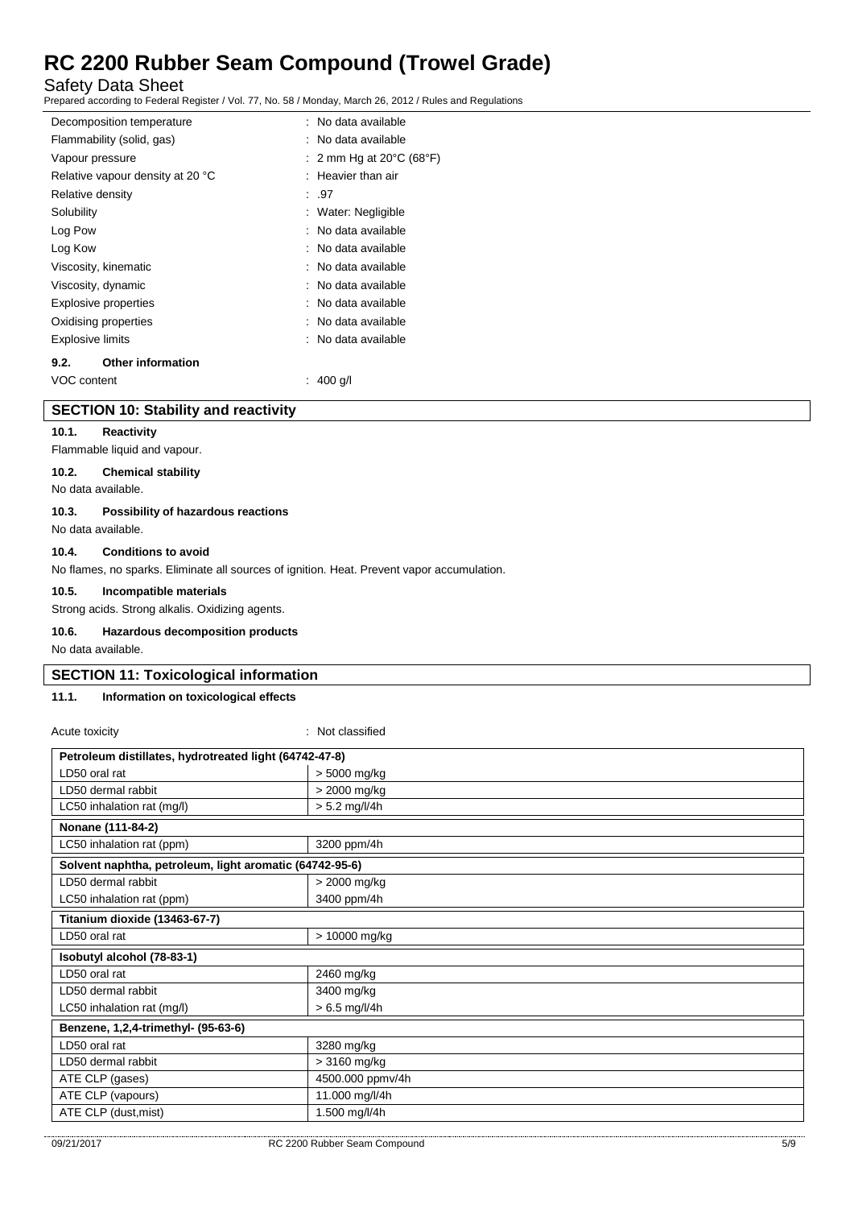Safety Data Sheet

Prepared according to Federal Register / Vol. 77, No. 58 / Monday, March 26, 2012 / Rules and Regulations

| Decomposition temperature        |  | : No data available                          |
|----------------------------------|--|----------------------------------------------|
| Flammability (solid, gas)        |  | : No data available                          |
| Vapour pressure                  |  | : 2 mm Hg at 20 $\degree$ C (68 $\degree$ F) |
| Relative vapour density at 20 °C |  | $:$ Heavier than air                         |
| Relative density                 |  | : .97                                        |
| Solubility                       |  | : Water: Negligible                          |
| Log Pow                          |  | : No data available                          |
| Log Kow                          |  | : No data available                          |
| Viscosity, kinematic             |  | : No data available                          |
| Viscosity, dynamic               |  | : No data available                          |
| <b>Explosive properties</b>      |  | : No data available                          |
| Oxidising properties             |  | : No data available                          |
| <b>Explosive limits</b>          |  | : No data available                          |
| <b>Other information</b><br>9.2. |  |                                              |
| VOC content                      |  | 400 g/l                                      |

#### **SECTION 10: Stability and reactivity**

### **10.1. Reactivity**

Flammable liquid and vapour.

# **10.2. Chemical stability**

No data available.

#### **10.3. Possibility of hazardous reactions**

No data available.

### **10.4. Conditions to avoid**

No flames, no sparks. Eliminate all sources of ignition. Heat. Prevent vapor accumulation.

#### **10.5. Incompatible materials**

Strong acids. Strong alkalis. Oxidizing agents.

#### **10.6. Hazardous decomposition products**

No data available.

#### **SECTION 11: Toxicological information**

# **11.1. Information on toxicological effects**

| Acute toxicity                                          | : Not classified |  |  |
|---------------------------------------------------------|------------------|--|--|
| Petroleum distillates, hydrotreated light (64742-47-8)  |                  |  |  |
| LD50 oral rat                                           | > 5000 mg/kg     |  |  |
| LD50 dermal rabbit                                      | > 2000 mg/kg     |  |  |
| LC50 inhalation rat (mg/l)                              | $> 5.2$ mg/l/4h  |  |  |
| Nonane (111-84-2)                                       |                  |  |  |
| LC50 inhalation rat (ppm)                               | 3200 ppm/4h      |  |  |
| Solvent naphtha, petroleum, light aromatic (64742-95-6) |                  |  |  |
| LD50 dermal rabbit                                      | > 2000 mg/kg     |  |  |
| LC50 inhalation rat (ppm)                               | 3400 ppm/4h      |  |  |
| Titanium dioxide (13463-67-7)                           |                  |  |  |
| LD50 oral rat                                           | > 10000 mg/kg    |  |  |
| Isobutyl alcohol (78-83-1)                              |                  |  |  |
| LD50 oral rat                                           | 2460 mg/kg       |  |  |
| LD50 dermal rabbit                                      | 3400 mg/kg       |  |  |
| LC50 inhalation rat (mg/l)                              | $> 6.5$ mg/l/4h  |  |  |
| Benzene, 1,2,4-trimethyl- (95-63-6)                     |                  |  |  |
| LD50 oral rat                                           | 3280 mg/kg       |  |  |
| LD50 dermal rabbit                                      | $>3160$ mg/kg    |  |  |
| ATE CLP (gases)                                         | 4500.000 ppmv/4h |  |  |
| ATE CLP (vapours)                                       | 11.000 mg/l/4h   |  |  |
| ATE CLP (dust, mist)                                    | 1.500 mg/l/4h    |  |  |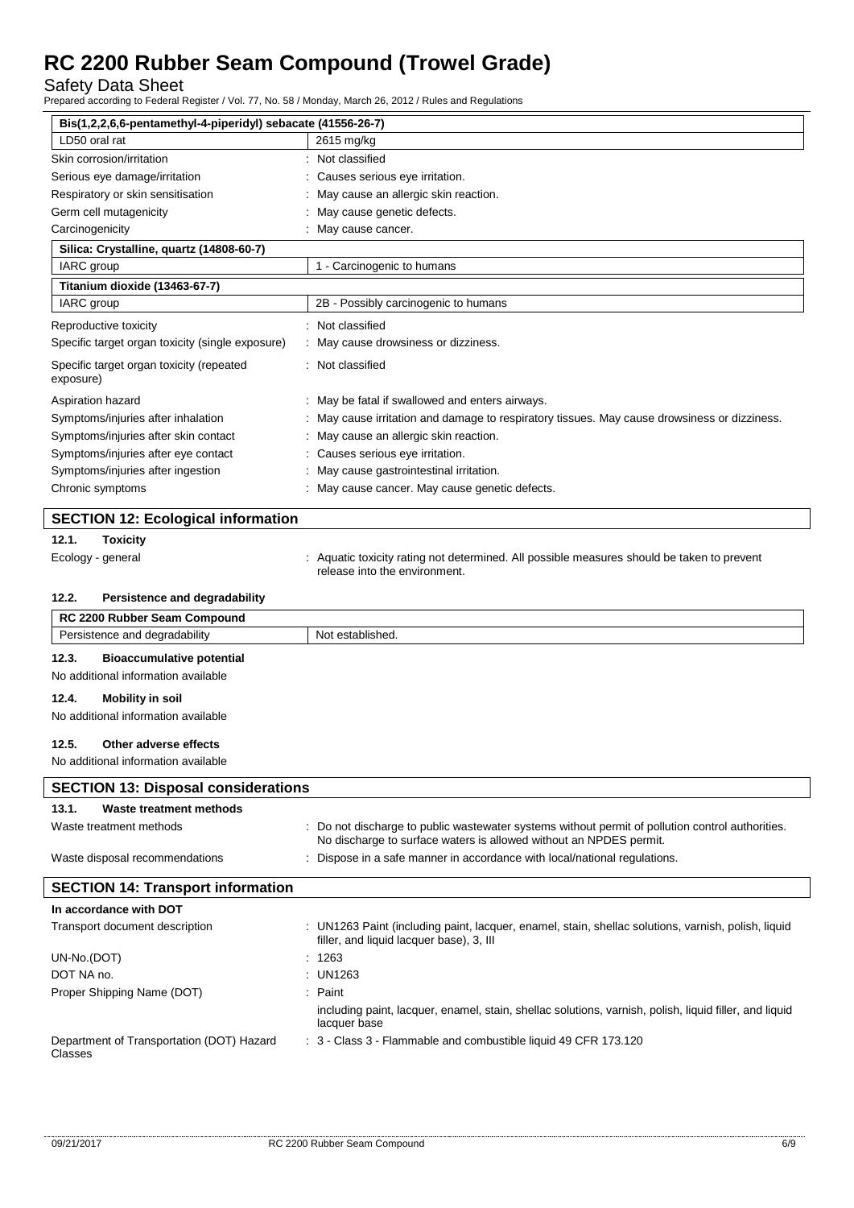Safety Data Sheet

Prepared according to Federal Register / Vol. 77, No. 58 / Monday, March 26, 2012 / Rules and Regulations

| Bis(1,2,2,6,6-pentamethyl-4-piperidyl) sebacate (41556-26-7) |                                                                                                                                                 |
|--------------------------------------------------------------|-------------------------------------------------------------------------------------------------------------------------------------------------|
| LD50 oral rat                                                | 2615 mg/kg                                                                                                                                      |
| Skin corrosion/irritation                                    | : Not classified                                                                                                                                |
| Serious eye damage/irritation                                | Causes serious eye irritation.                                                                                                                  |
| Respiratory or skin sensitisation                            | May cause an allergic skin reaction.                                                                                                            |
| Germ cell mutagenicity                                       | May cause genetic defects.                                                                                                                      |
| Carcinogenicity                                              | : May cause cancer.                                                                                                                             |
| Silica: Crystalline, quartz (14808-60-7)                     |                                                                                                                                                 |
| IARC group                                                   | 1 - Carcinogenic to humans                                                                                                                      |
| Titanium dioxide (13463-67-7)                                |                                                                                                                                                 |
| IARC group                                                   | 2B - Possibly carcinogenic to humans                                                                                                            |
| Reproductive toxicity                                        | : Not classified                                                                                                                                |
| Specific target organ toxicity (single exposure)             | May cause drowsiness or dizziness.                                                                                                              |
| Specific target organ toxicity (repeated<br>exposure)        | : Not classified                                                                                                                                |
| Aspiration hazard                                            | : May be fatal if swallowed and enters airways.                                                                                                 |
| Symptoms/injuries after inhalation                           | May cause irritation and damage to respiratory tissues. May cause drowsiness or dizziness.                                                      |
| Symptoms/injuries after skin contact                         | May cause an allergic skin reaction.                                                                                                            |
| Symptoms/injuries after eye contact                          | Causes serious eye irritation.                                                                                                                  |
| Symptoms/injuries after ingestion                            | May cause gastrointestinal irritation.                                                                                                          |
| Chronic symptoms                                             | : May cause cancer. May cause genetic defects.                                                                                                  |
|                                                              |                                                                                                                                                 |
| <b>SECTION 12: Ecological information</b>                    |                                                                                                                                                 |
| 12.1.<br><b>Toxicity</b>                                     |                                                                                                                                                 |
| Ecology - general                                            | : Aquatic toxicity rating not determined. All possible measures should be taken to prevent                                                      |
|                                                              | release into the environment.                                                                                                                   |
|                                                              |                                                                                                                                                 |
| 12.2.<br>Persistence and degradability                       |                                                                                                                                                 |
| RC 2200 Rubber Seam Compound                                 |                                                                                                                                                 |
| Persistence and degradability                                | Not established.                                                                                                                                |
|                                                              |                                                                                                                                                 |
| 12.3.<br><b>Bioaccumulative potential</b>                    |                                                                                                                                                 |
| No additional information available                          |                                                                                                                                                 |
| 12.4.<br><b>Mobility in soil</b>                             |                                                                                                                                                 |
| No additional information available                          |                                                                                                                                                 |
| 12.5.<br>Other adverse effects                               |                                                                                                                                                 |
| No additional information available                          |                                                                                                                                                 |
| <b>SECTION 13: Disposal considerations</b>                   |                                                                                                                                                 |
| 13.1.<br>Waste treatment methods                             |                                                                                                                                                 |
| Waste treatment methods                                      | : Do not discharge to public wastewater systems without permit of pollution control authorities.                                                |
| Waste disposal recommendations                               | No discharge to surface waters is allowed without an NPDES permit.<br>: Dispose in a safe manner in accordance with local/national regulations. |
|                                                              |                                                                                                                                                 |
| <b>SECTION 14: Transport information</b>                     |                                                                                                                                                 |
| In accordance with DOT                                       |                                                                                                                                                 |
| Transport document description                               | : UN1263 Paint (including paint, lacquer, enamel, stain, shellac solutions, varnish, polish, liquid<br>filler, and liquid lacquer base), 3, III |
| UN-No.(DOT)                                                  | : 1263                                                                                                                                          |
| DOT NA no.                                                   | <b>UN1263</b>                                                                                                                                   |
| Proper Shipping Name (DOT)                                   | : Paint                                                                                                                                         |
|                                                              | including paint, lacquer, enamel, stain, shellac solutions, varnish, polish, liquid filler, and liquid<br>lacquer base                          |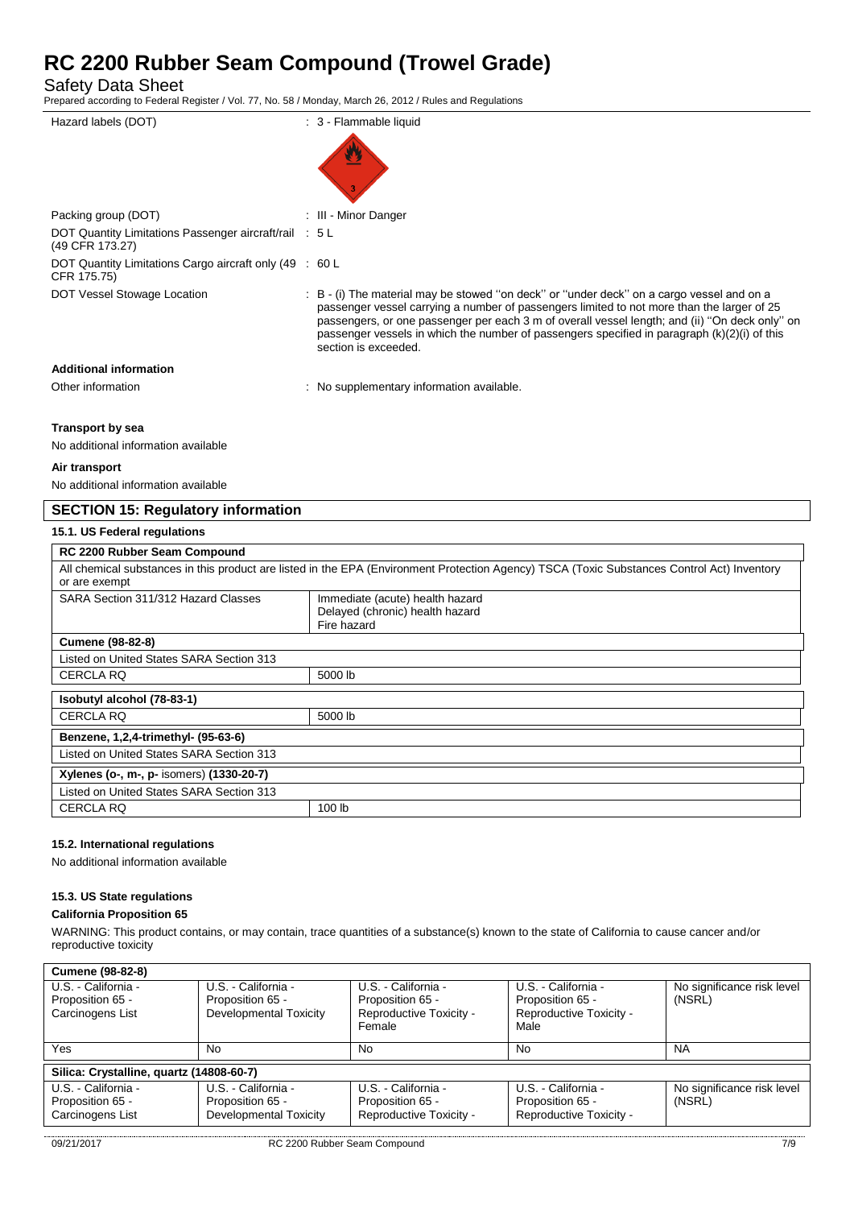Safety Data Sheet

Prepared according to Federal Register / Vol. 77, No. 58 / Monday, March 26, 2012 / Rules and Regulations

| Hazard labels (DOT)                                                       | : 3 - Flammable liquid                                                                                                                                                                                                                                                                                                                                                                                              |
|---------------------------------------------------------------------------|---------------------------------------------------------------------------------------------------------------------------------------------------------------------------------------------------------------------------------------------------------------------------------------------------------------------------------------------------------------------------------------------------------------------|
|                                                                           |                                                                                                                                                                                                                                                                                                                                                                                                                     |
| Packing group (DOT)                                                       | : III - Minor Danger                                                                                                                                                                                                                                                                                                                                                                                                |
| DOT Quantity Limitations Passenger aircraft/rail : 5 L<br>(49 CFR 173.27) |                                                                                                                                                                                                                                                                                                                                                                                                                     |
| DOT Quantity Limitations Cargo aircraft only (49 : 60 L<br>CFR 175.75)    |                                                                                                                                                                                                                                                                                                                                                                                                                     |
| DOT Vessel Stowage Location                                               | : B - (i) The material may be stowed "on deck" or "under deck" on a cargo vessel and on a<br>passenger vessel carrying a number of passengers limited to not more than the larger of 25<br>passengers, or one passenger per each 3 m of overall vessel length; and (ii) "On deck only" on<br>passenger vessels in which the number of passengers specified in paragraph $(k)(2)(i)$ of this<br>section is exceeded. |
| <b>Additional information</b>                                             |                                                                                                                                                                                                                                                                                                                                                                                                                     |
| Other information                                                         | : No supplementary information available.                                                                                                                                                                                                                                                                                                                                                                           |
|                                                                           |                                                                                                                                                                                                                                                                                                                                                                                                                     |

### **Transport by sea**

No additional information available

#### **Air transport**

No additional information available

# **SECTION 15: Regulatory information**

### **15.1. US Federal regulations**

| RC 2200 Rubber Seam Compound                                                                                                                |                                 |  |
|---------------------------------------------------------------------------------------------------------------------------------------------|---------------------------------|--|
| All chemical substances in this product are listed in the EPA (Environment Protection Agency) TSCA (Toxic Substances Control Act) Inventory |                                 |  |
| or are exempt                                                                                                                               |                                 |  |
| SARA Section 311/312 Hazard Classes                                                                                                         | Immediate (acute) health hazard |  |
|                                                                                                                                             | Delayed (chronic) health hazard |  |
|                                                                                                                                             | Fire hazard                     |  |
| <b>Cumene (98-82-8)</b>                                                                                                                     |                                 |  |
| Listed on United States SARA Section 313                                                                                                    |                                 |  |
| <b>CERCLA RQ</b>                                                                                                                            | 5000 lb                         |  |
|                                                                                                                                             |                                 |  |
| Isobutyl alcohol (78-83-1)                                                                                                                  |                                 |  |
| <b>CERCLA RQ</b>                                                                                                                            | 5000 lb                         |  |
| Benzene, 1,2,4-trimethyl- (95-63-6)                                                                                                         |                                 |  |
| Listed on United States SARA Section 313                                                                                                    |                                 |  |
| Xylenes (o-, m-, p- isomers) (1330-20-7)                                                                                                    |                                 |  |
| Listed on United States SARA Section 313                                                                                                    |                                 |  |
| <b>CERCLA RQ</b>                                                                                                                            | 100 lb                          |  |

### **15.2. International regulations**

No additional information available

#### **15.3. US State regulations**

#### **California Proposition 65**

WARNING: This product contains, or may contain, trace quantities of a substance(s) known to the state of California to cause cancer and/or reproductive toxicity

| <b>Cumene (98-82-8)</b>                  |                               |                         |                         |                            |
|------------------------------------------|-------------------------------|-------------------------|-------------------------|----------------------------|
| U.S. - California -                      | U.S. - California -           | U.S. - California -     | U.S. - California -     | No significance risk level |
| Proposition 65 -                         | Proposition 65 -              | Proposition 65 -        | Proposition 65 -        | (NSRL)                     |
| Carcinogens List                         | Developmental Toxicity        | Reproductive Toxicity - | Reproductive Toxicity - |                            |
|                                          |                               | Female                  | Male                    |                            |
| Yes                                      | No                            | No.                     | No                      | <b>NA</b>                  |
|                                          |                               |                         |                         |                            |
| Silica: Crystalline, quartz (14808-60-7) |                               |                         |                         |                            |
| U.S. - California -                      | U.S. - California -           | U.S. - California -     | U.S. - California -     | No significance risk level |
| Proposition 65 -                         | Proposition 65 -              | Proposition 65 -        | Proposition 65 -        | (NSRL)                     |
| Carcinogens List                         | <b>Developmental Toxicity</b> | Reproductive Toxicity - | Reproductive Toxicity - |                            |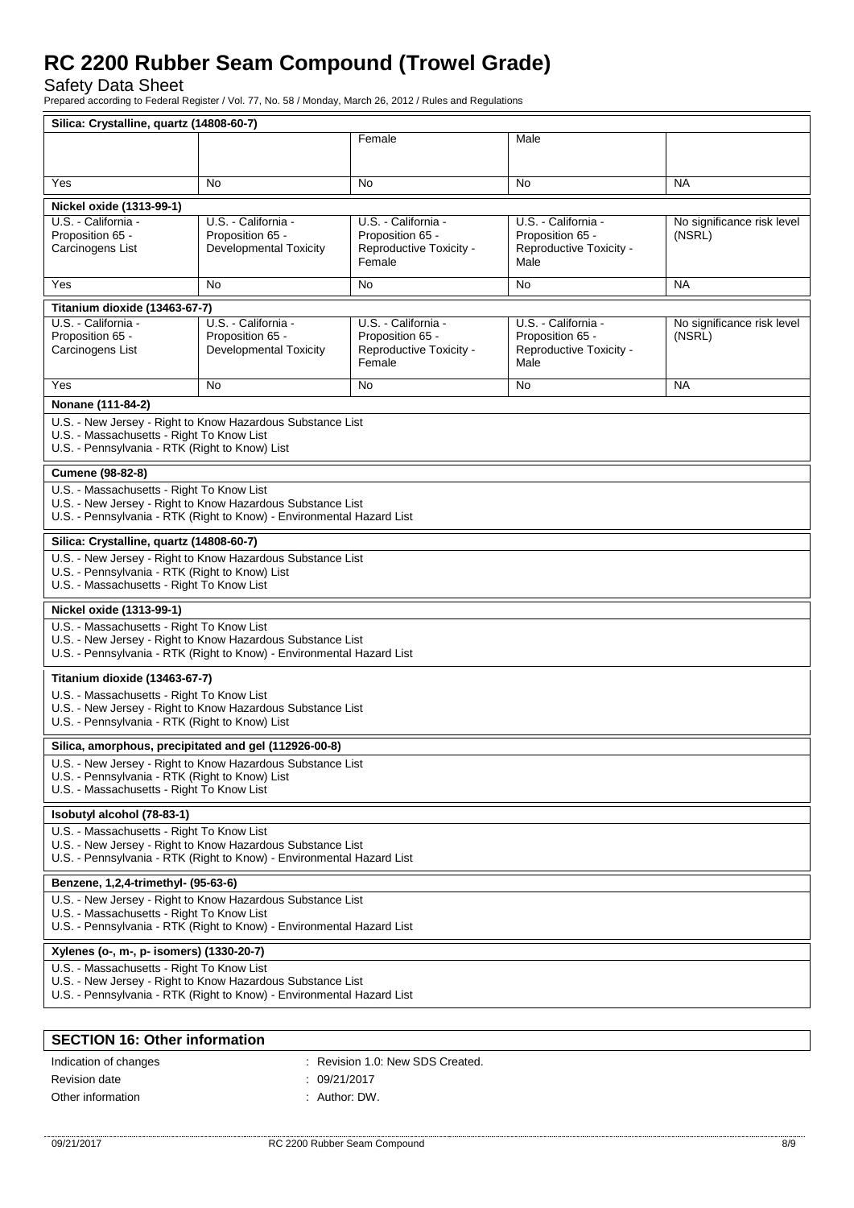Safety Data Sheet

Prepared according to Federal Register / Vol. 77, No. 58 / Monday, March 26, 2012 / Rules and Regulations

|                                                                                                                    | Silica: Crystalline, quartz (14808-60-7)                              |                         |                         |                            |  |
|--------------------------------------------------------------------------------------------------------------------|-----------------------------------------------------------------------|-------------------------|-------------------------|----------------------------|--|
|                                                                                                                    |                                                                       | Female                  | Male                    |                            |  |
|                                                                                                                    |                                                                       |                         |                         |                            |  |
| Yes                                                                                                                | No.                                                                   | No                      | No                      | <b>NA</b>                  |  |
|                                                                                                                    |                                                                       |                         |                         |                            |  |
| Nickel oxide (1313-99-1)<br>U.S. California -                                                                      | U.S. - California -                                                   | U.S. - California -     | U.S. - California -     | No significance risk level |  |
| Proposition 65 -                                                                                                   | Proposition 65 -                                                      | Proposition 65 -        | Proposition 65 -        | (NSRL)                     |  |
| Carcinogens List                                                                                                   | <b>Developmental Toxicity</b>                                         | Reproductive Toxicity - | Reproductive Toxicity - |                            |  |
|                                                                                                                    |                                                                       | Female                  | Male                    |                            |  |
| Yes                                                                                                                | No.                                                                   | No.                     | <b>No</b>               | <b>NA</b>                  |  |
| Titanium dioxide (13463-67-7)                                                                                      |                                                                       |                         |                         |                            |  |
| U.S. - California -                                                                                                | U.S. - California -                                                   | U.S. - California -     | U.S. - California -     | No significance risk level |  |
| Proposition 65 -                                                                                                   | Proposition 65 -                                                      | Proposition 65 -        | Proposition 65 -        | (NSRL)                     |  |
| Carcinogens List                                                                                                   | <b>Developmental Toxicity</b>                                         | Reproductive Toxicity - | Reproductive Toxicity - |                            |  |
|                                                                                                                    |                                                                       | Female                  | Male                    |                            |  |
| Yes                                                                                                                | No                                                                    | <b>No</b>               | No.                     | <b>NA</b>                  |  |
| Nonane (111-84-2)                                                                                                  |                                                                       |                         |                         |                            |  |
|                                                                                                                    | U.S. - New Jersey - Right to Know Hazardous Substance List            |                         |                         |                            |  |
| U.S. - Massachusetts - Right To Know List                                                                          |                                                                       |                         |                         |                            |  |
| U.S. - Pennsylvania - RTK (Right to Know) List                                                                     |                                                                       |                         |                         |                            |  |
| Cumene (98-82-8)                                                                                                   |                                                                       |                         |                         |                            |  |
| U.S. - Massachusetts - Right To Know List                                                                          |                                                                       |                         |                         |                            |  |
|                                                                                                                    | U.S. - New Jersey - Right to Know Hazardous Substance List            |                         |                         |                            |  |
|                                                                                                                    | U.S. - Pennsylvania - RTK (Right to Know) - Environmental Hazard List |                         |                         |                            |  |
| Silica: Crystalline, quartz (14808-60-7)                                                                           |                                                                       |                         |                         |                            |  |
|                                                                                                                    | U.S. - New Jersey - Right to Know Hazardous Substance List            |                         |                         |                            |  |
| U.S. - Pennsylvania - RTK (Right to Know) List                                                                     |                                                                       |                         |                         |                            |  |
| U.S. - Massachusetts - Right To Know List                                                                          |                                                                       |                         |                         |                            |  |
| Nickel oxide (1313-99-1)                                                                                           |                                                                       |                         |                         |                            |  |
| U.S. - Massachusetts - Right To Know List                                                                          |                                                                       |                         |                         |                            |  |
|                                                                                                                    | U.S. - New Jersey - Right to Know Hazardous Substance List            |                         |                         |                            |  |
|                                                                                                                    | U.S. - Pennsylvania - RTK (Right to Know) - Environmental Hazard List |                         |                         |                            |  |
| Titanium dioxide (13463-67-7)                                                                                      |                                                                       |                         |                         |                            |  |
| U.S. - Massachusetts - Right To Know List                                                                          |                                                                       |                         |                         |                            |  |
| U.S. - Pennsylvania - RTK (Right to Know) List                                                                     | U.S. - New Jersey - Right to Know Hazardous Substance List            |                         |                         |                            |  |
|                                                                                                                    |                                                                       |                         |                         |                            |  |
|                                                                                                                    | Silica, amorphous, precipitated and gel (112926-00-8)                 |                         |                         |                            |  |
|                                                                                                                    | U.S. - New Jersey - Right to Know Hazardous Substance List            |                         |                         |                            |  |
| U.S. - Pennsylvania - RTK (Right to Know) List<br>U.S. - Massachusetts - Right To Know List                        |                                                                       |                         |                         |                            |  |
|                                                                                                                    |                                                                       |                         |                         |                            |  |
| Isobutyl alcohol (78-83-1)                                                                                         |                                                                       |                         |                         |                            |  |
| U.S. - Massachusetts - Right To Know List                                                                          | U.S. - New Jersey - Right to Know Hazardous Substance List            |                         |                         |                            |  |
|                                                                                                                    |                                                                       |                         |                         |                            |  |
| U.S. - Pennsylvania - RTK (Right to Know) - Environmental Hazard List                                              |                                                                       |                         |                         |                            |  |
| Benzene, 1,2,4-trimethyl- (95-63-6)                                                                                |                                                                       |                         |                         |                            |  |
| U.S. - New Jersey - Right to Know Hazardous Substance List                                                         |                                                                       |                         |                         |                            |  |
| U.S. - Massachusetts - Right To Know List<br>U.S. - Pennsylvania - RTK (Right to Know) - Environmental Hazard List |                                                                       |                         |                         |                            |  |
| Xylenes (o-, m-, p- isomers) (1330-20-7)                                                                           |                                                                       |                         |                         |                            |  |
| U.S. - Massachusetts - Right To Know List                                                                          |                                                                       |                         |                         |                            |  |
|                                                                                                                    | U.S. - New Jersey - Right to Know Hazardous Substance List            |                         |                         |                            |  |
|                                                                                                                    | U.S. - Pennsylvania - RTK (Right to Know) - Environmental Hazard List |                         |                         |                            |  |
|                                                                                                                    |                                                                       |                         |                         |                            |  |
| <b>SECTION 16: Other information</b>                                                                               |                                                                       |                         |                         |                            |  |

| Indication of changes | : Revision 1.0: New SDS Created. |
|-----------------------|----------------------------------|
| Revision date         | : 09/21/2017                     |
| Other information     | : Author: DW.                    |